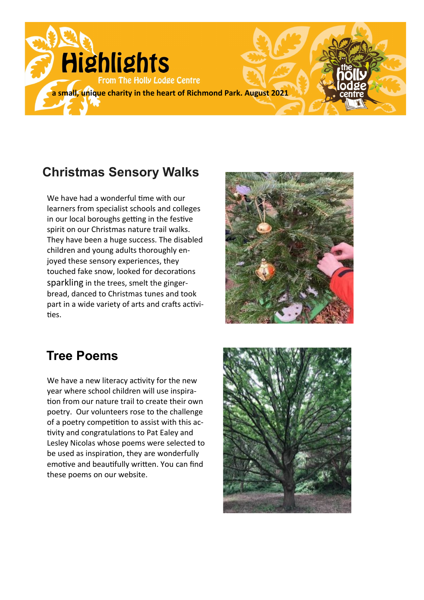

## **Christmas Sensory Walks**

We have had a wonderful time with our learners from specialist schools and colleges in our local boroughs getting in the festive spirit on our Christmas nature trail walks. They have been a huge success. The disabled children and young adults thoroughly enjoyed these sensory experiences, they touched fake snow, looked for decorations sparkling in the trees, smelt the gingerbread, danced to Christmas tunes and took part in a wide variety of arts and crafts activities.



### **Tree Poems**

We have a new literacy activity for the new year where school children will use inspiration from our nature trail to create their own poetry. Our volunteers rose to the challenge of a poetry competition to assist with this activity and congratulations to Pat Ealey and Lesley Nicolas whose poems were selected to be used as inspiration, they are wonderfully emotive and beautifully written. You can find these poems on our website.

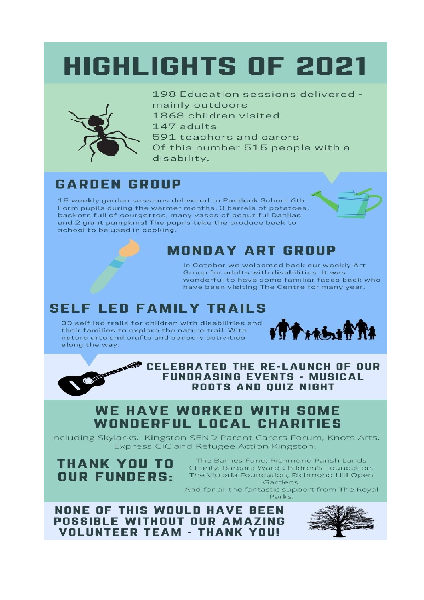# **HIGHLIGHTS OF 2021**



198 Education sessions delivered mainly outdoors 1868 children visited 147 adults 591 teachers and carers Of this number 515 people with a disability.

## **GARDEN GROUP**

18 weekly garden sessions delivered to Paddock School 6th Form pupils during the warmer months. 3 barrels of potatoes, baskets full of courgettes, many vases of beautiful Dahlias and 2 giant pumpkins! The pupils take the produce back to school to be used in cooking.



### **MONDAY ART GROUP**

In October we welcomed back our weekly Art Group for adults with disabilities, It was wonderful to have some familiar faces back who have been visiting The Centre for many year.

## **SELF LED FAMILY TRAILS**

30 self led trails for children with disabilities and their families to explore the nature trail. With nature arts and crafts and sensory activities along the way.



**CELEBRATED THE RE-LAUNCH OF OUR FUNDRASING EVENTS - MUSICAL ROOTS AND OUIZ NIGHT** 

#### **WE HAVE WORKED WITH SOME WONDERFUL LOCAL CHARITIES**

including Skylarks, Kingston SEND Parent Carers Forum, Knots Arts, Express CIC and Refugee Action Kingston.

**THANK YOU TO OUR FUNDERS:** 

The Barnes Fund, Richmond Parish Lands Charity, Barbara Ward Children's Foundation, The Victoria Foundation, Richmond Hill Open Gardens.

And for all the fantastic support from The Royal Parks.

**NONE OF THIS WOULD HAVE BEEN** POSSIBLE WITHOUT OUR AMAZING **VOLUNTEER TEAM - THANK YOU!**